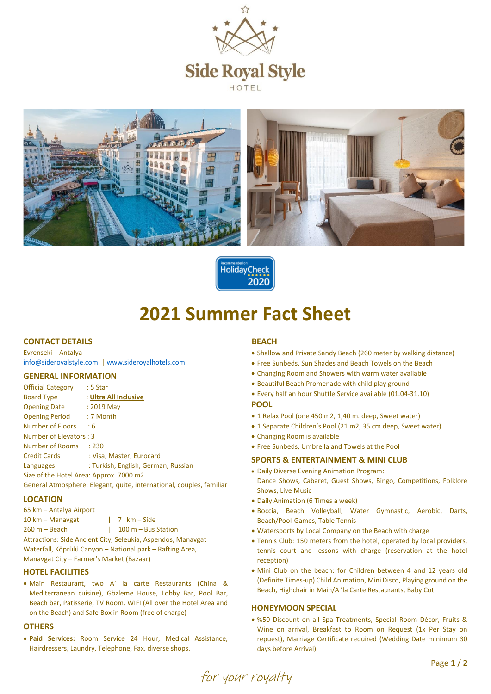



HolidayCheck 2020

# **2021 Summer Fact Sheet**

## **CONTACT DETAILS**

Evrenseki – Antalya [info@sideroyalstyle.com](mailto:info@sideroyalstyle.com) [| www.sideroyalhotels.com](http://www.sideroyalhotels.com/)

#### **GENERAL INFORMATION**

| <b>Official Category</b>                | $:5$ Star                                                            |
|-----------------------------------------|----------------------------------------------------------------------|
| <b>Board Type</b>                       | : Ultra All Inclusive                                                |
| <b>Opening Date</b>                     | $: 2019$ May                                                         |
| Opening Period : 7 Month                |                                                                      |
| Number of Floors : 6                    |                                                                      |
| Number of Elevators: 3                  |                                                                      |
| Number of Rooms                         | : 230                                                                |
| <b>Credit Cards</b>                     | : Visa, Master, Eurocard                                             |
| Languages                               | : Turkish, English, German, Russian                                  |
| Size of the Hotel Area: Approx. 7000 m2 |                                                                      |
|                                         | General Atmosphere: Elegant, quite, international, couples, familiar |

#### **LOCATION**

| 65 km - Antalya Airport                                      |                                       |  |  |  |
|--------------------------------------------------------------|---------------------------------------|--|--|--|
| 10 km – Manavgat                                             | 7 km – Side                           |  |  |  |
| $260 m - Beach$                                              | $100 m - Bus Station$<br>$\mathbf{L}$ |  |  |  |
| Attractions: Side Ancient City, Seleukia, Aspendos, Manavgat |                                       |  |  |  |
| Waterfall, Köprülü Canyon – National park – Rafting Area,    |                                       |  |  |  |
| Manavgat City – Farmer's Market (Bazaar)                     |                                       |  |  |  |

## **HOTEL FACILITIES**

 Main Restaurant, two A' la carte Restaurants (China & Mediterranean cuisine), Gözleme House, Lobby Bar, Pool Bar, Beach bar, Patisserie, TV Room. WIFI (All over the Hotel Area and on the Beach) and Safe Box in Room (free of charge)

## **OTHERS**

 **Paid Services:** Room Service 24 Hour, Medical Assistance, Hairdressers, Laundry, Telephone, Fax, diverse shops.

#### **BEACH**

- Shallow and Private Sandy Beach (260 meter by walking distance)
- Free Sunbeds, Sun Shades and Beach Towels on the Beach
- Changing Room and Showers with warm water available
- Beautiful Beach Promenade with child play ground
- Every half an hour Shuttle Service available (01.04-31.10)

#### **POOL**

- 1 Relax Pool (one 450 m2, 1,40 m. deep, Sweet water)
- 1 Separate Children's Pool (21 m2, 35 cm deep, Sweet water)
- Changing Room is available
- Free Sunbeds, Umbrella and Towels at the Pool

#### **SPORTS & ENTERTAINMENT & MINI CLUB**

- Daily Diverse Evening Animation Program: Dance Shows, Cabaret, Guest Shows, Bingo, Competitions, Folklore Shows, Live Music
- Daily Animation (6 Times a week)
- Boccia, Beach Volleyball, Water Gymnastic, Aerobic, Darts, Beach/Pool-Games, Table Tennis
- Watersports by Local Company on the Beach with charge
- Tennis Club: 150 meters from the hotel, operated by local providers, tennis court and lessons with charge (reservation at the hotel reception)
- Mini Club on the beach: for Children between 4 and 12 years old (Definite Times-up) Child Animation, Mini Disco, Playing ground on the Beach, Highchair in Main/A 'la Carte Restaurants, Baby Cot

#### **HONEYMOON SPECIAL**

 %50 Discount on all Spa Treatments, Special Room Décor, Fruits & Wine on arrival, Breakfast to Room on Request (1x Per Stay on repuest), Marriage Certificate required (Wedding Date minimum 30 days before Arrival)